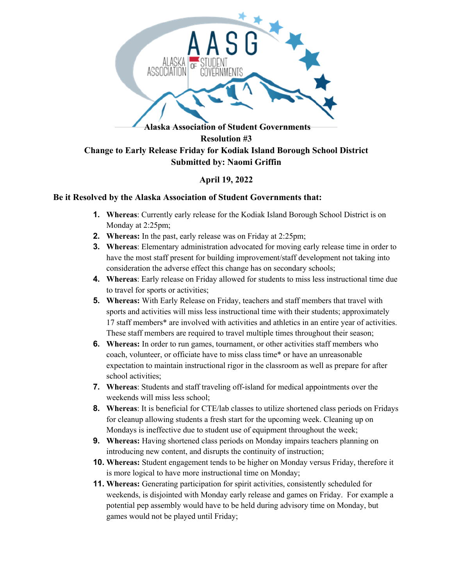

## **April 19, 2022**

## **Be it Resolved by the Alaska Association of Student Governments that:**

- **1. Whereas**: Currently early release for the Kodiak Island Borough School District is on Monday at 2:25pm;
- **2. Whereas:** In the past, early release was on Friday at 2:25pm;
- **3. Whereas**: Elementary administration advocated for moving early release time in order to have the most staff present for building improvement/staff development not taking into consideration the adverse effect this change has on secondary schools;
- **4. Whereas**: Early release on Friday allowed for students to miss less instructional time due to travel for sports or activities;
- **5. Whereas:** With Early Release on Friday, teachers and staff members that travel with sports and activities will miss less instructional time with their students; approximately 17 staff members\* are involved with activities and athletics in an entire year of activities. These staff members are required to travel multiple times throughout their season;
- **6. Whereas:** In order to run games, tournament, or other activities staff members who coach, volunteer, or officiate have to miss class time\* or have an unreasonable expectation to maintain instructional rigor in the classroom as well as prepare for after school activities;
- **7. Whereas**: Students and staff traveling off-island for medical appointments over the weekends will miss less school;
- **8. Whereas**: It is beneficial for CTE/lab classes to utilize shortened class periods on Fridays for cleanup allowing students a fresh start for the upcoming week. Cleaning up on Mondays is ineffective due to student use of equipment throughout the week;
- **9. Whereas:** Having shortened class periods on Monday impairs teachers planning on introducing new content, and disrupts the continuity of instruction;
- **10. Whereas:** Student engagement tends to be higher on Monday versus Friday, therefore it is more logical to have more instructional time on Monday;
- **11. Whereas:** Generating participation for spirit activities, consistently scheduled for weekends, is disjointed with Monday early release and games on Friday. For example a potential pep assembly would have to be held during advisory time on Monday, but games would not be played until Friday;